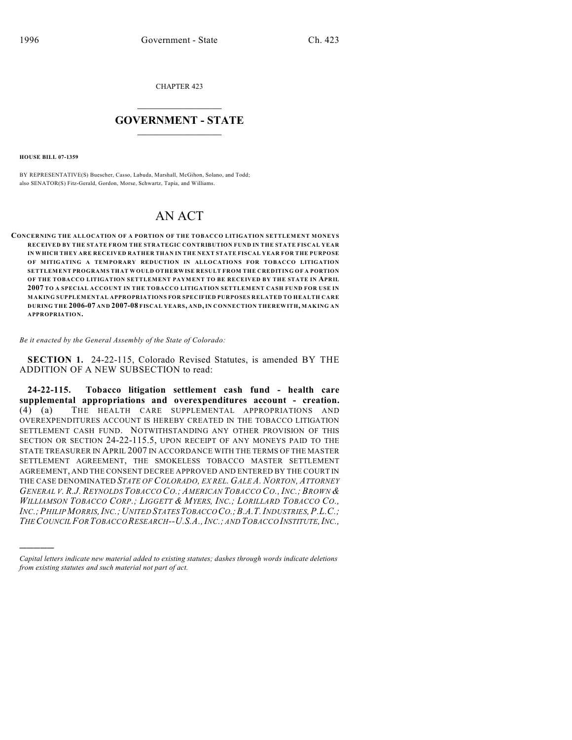CHAPTER 423

## $\mathcal{L}_\text{max}$  . The set of the set of the set of the set of the set of the set of the set of the set of the set of the set of the set of the set of the set of the set of the set of the set of the set of the set of the set **GOVERNMENT - STATE**  $\_$   $\_$   $\_$   $\_$   $\_$   $\_$   $\_$   $\_$   $\_$

**HOUSE BILL 07-1359**

)))))

BY REPRESENTATIVE(S) Buescher, Casso, Labuda, Marshall, McGihon, Solano, and Todd; also SENATOR(S) Fitz-Gerald, Gordon, Morse, Schwartz, Tapia, and Williams.

## AN ACT

**CONCERNING THE ALLOCATION OF A PORTION OF THE TOBACCO LITIGATION SETTLEMENT MONEYS RECEIVED BY THE STATE FROM THE STRATEGIC CONTRIBUTION FUND IN THE STATE FISCAL YEAR IN WHICH THEY ARE RECEIVED RATHER THAN IN THE NEXT STATE FISCAL YEAR FOR THE PURPOSE OF MITIGATING A TEMPORARY REDUCTION IN ALLOCATIONS FOR TOBACCO LITIGATION SETTLEMENT PROGRAMS THAT WOULD OTHERWISE RESULT FROM THE CREDITING OF A PORTION OF THE TOBACCO LITIGATION SETTLEMENT PAYMENT TO BE RECEIVED BY THE STATE IN APRIL 2007 TO A SPECIAL ACCOUNT IN THE TOBACCO LITIGATION SETTLEMENT CASH FUND FOR USE IN MAKING SUPPLEMENTAL APPROPRIATIONS FOR SPECIFIED PURPOSES RELATED TO HEALTH CARE DURING THE 2006-07 AND 2007-08 FISCAL YEARS, AND, IN CONNECTION THEREWITH, MAKING AN APPROPRIATION.**

*Be it enacted by the General Assembly of the State of Colorado:*

**SECTION 1.** 24-22-115, Colorado Revised Statutes, is amended BY THE ADDITION OF A NEW SUBSECTION to read:

**24-22-115. Tobacco litigation settlement cash fund - health care supplemental appropriations and overexpenditures account - creation.** (4) (a) THE HEALTH CARE SUPPLEMENTAL APPROPRIATIONS AND OVEREXPENDITURES ACCOUNT IS HEREBY CREATED IN THE TOBACCO LITIGATION SETTLEMENT CASH FUND. NOTWITHSTANDING ANY OTHER PROVISION OF THIS SECTION OR SECTION 24-22-115.5, UPON RECEIPT OF ANY MONEYS PAID TO THE STATE TREASURER IN APRIL 2007 IN ACCORDANCE WITH THE TERMS OF THE MASTER SETTLEMENT AGREEMENT, THE SMOKELESS TOBACCO MASTER SETTLEMENT AGREEMENT, AND THE CONSENT DECREE APPROVED AND ENTERED BY THE COURT IN THE CASE DENOMINATED *STATE OF COLORADO, EX REL. GALE A. NORTON, ATTORNEY* GENERAL V. R.J. REYNOLDS TOBACCO CO.: AMERICAN TOBACCO CO.. INC.: BROWN & WILLIAMSON TOBACCO CORP.; LIGGETT & MYERS, INC.; LORILLARD TOBACCO CO., *INC.;PHILIP MORRIS,INC.;UNITED STATES TOBACCO CO.;B.A.T.INDUSTRIES,P.L.C.; THE COUNCIL FOR TOBACCO RESEARCH--U.S.A.,INC.; AND TOBACCO INSTITUTE,INC.,*

*Capital letters indicate new material added to existing statutes; dashes through words indicate deletions from existing statutes and such material not part of act.*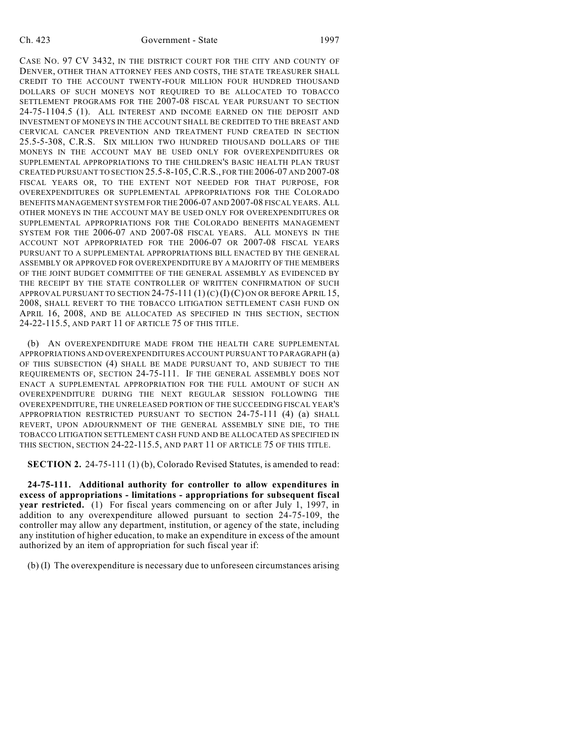CASE NO. 97 CV 3432, IN THE DISTRICT COURT FOR THE CITY AND COUNTY OF DENVER, OTHER THAN ATTORNEY FEES AND COSTS, THE STATE TREASURER SHALL CREDIT TO THE ACCOUNT TWENTY-FOUR MILLION FOUR HUNDRED THOUSAND DOLLARS OF SUCH MONEYS NOT REQUIRED TO BE ALLOCATED TO TOBACCO SETTLEMENT PROGRAMS FOR THE 2007-08 FISCAL YEAR PURSUANT TO SECTION 24-75-1104.5 (1). ALL INTEREST AND INCOME EARNED ON THE DEPOSIT AND INVESTMENT OF MONEYS IN THE ACCOUNT SHALL BE CREDITED TO THE BREAST AND CERVICAL CANCER PREVENTION AND TREATMENT FUND CREATED IN SECTION 25.5-5-308, C.R.S. SIX MILLION TWO HUNDRED THOUSAND DOLLARS OF THE MONEYS IN THE ACCOUNT MAY BE USED ONLY FOR OVEREXPENDITURES OR SUPPLEMENTAL APPROPRIATIONS TO THE CHILDREN'S BASIC HEALTH PLAN TRUST CREATED PURSUANT TO SECTION 25.5-8-105,C.R.S., FOR THE 2006-07 AND 2007-08 FISCAL YEARS OR, TO THE EXTENT NOT NEEDED FOR THAT PURPOSE, FOR OVEREXPENDITURES OR SUPPLEMENTAL APPROPRIATIONS FOR THE COLORADO BENEFITS MANAGEMENT SYSTEM FOR THE 2006-07 AND 2007-08 FISCAL YEARS. ALL OTHER MONEYS IN THE ACCOUNT MAY BE USED ONLY FOR OVEREXPENDITURES OR SUPPLEMENTAL APPROPRIATIONS FOR THE COLORADO BENEFITS MANAGEMENT SYSTEM FOR THE 2006-07 AND 2007-08 FISCAL YEARS. ALL MONEYS IN THE ACCOUNT NOT APPROPRIATED FOR THE 2006-07 OR 2007-08 FISCAL YEARS PURSUANT TO A SUPPLEMENTAL APPROPRIATIONS BILL ENACTED BY THE GENERAL ASSEMBLY OR APPROVED FOR OVEREXPENDITURE BY A MAJORITY OF THE MEMBERS OF THE JOINT BUDGET COMMITTEE OF THE GENERAL ASSEMBLY AS EVIDENCED BY THE RECEIPT BY THE STATE CONTROLLER OF WRITTEN CONFIRMATION OF SUCH APPROVAL PURSUANT TO SECTION 24-75-111  $(1)(C)(I)(C)$  ON OR BEFORE APRIL 15, 2008, SHALL REVERT TO THE TOBACCO LITIGATION SETTLEMENT CASH FUND ON APRIL 16, 2008, AND BE ALLOCATED AS SPECIFIED IN THIS SECTION, SECTION 24-22-115.5, AND PART 11 OF ARTICLE 75 OF THIS TITLE.

(b) AN OVEREXPENDITURE MADE FROM THE HEALTH CARE SUPPLEMENTAL APPROPRIATIONS AND OVEREXPENDITURES ACCOUNT PURSUANT TO PARAGRAPH (a) OF THIS SUBSECTION (4) SHALL BE MADE PURSUANT TO, AND SUBJECT TO THE REQUIREMENTS OF, SECTION 24-75-111. IF THE GENERAL ASSEMBLY DOES NOT ENACT A SUPPLEMENTAL APPROPRIATION FOR THE FULL AMOUNT OF SUCH AN OVEREXPENDITURE DURING THE NEXT REGULAR SESSION FOLLOWING THE OVEREXPENDITURE, THE UNRELEASED PORTION OF THE SUCCEEDING FISCAL YEAR'S APPROPRIATION RESTRICTED PURSUANT TO SECTION 24-75-111 (4) (a) SHALL REVERT, UPON ADJOURNMENT OF THE GENERAL ASSEMBLY SINE DIE, TO THE TOBACCO LITIGATION SETTLEMENT CASH FUND AND BE ALLOCATED AS SPECIFIED IN THIS SECTION, SECTION 24-22-115.5, AND PART 11 OF ARTICLE 75 OF THIS TITLE.

**SECTION 2.** 24-75-111 (1) (b), Colorado Revised Statutes, is amended to read:

**24-75-111. Additional authority for controller to allow expenditures in excess of appropriations - limitations - appropriations for subsequent fiscal year restricted.** (1) For fiscal years commencing on or after July 1, 1997, in addition to any overexpenditure allowed pursuant to section 24-75-109, the controller may allow any department, institution, or agency of the state, including any institution of higher education, to make an expenditure in excess of the amount authorized by an item of appropriation for such fiscal year if:

(b) (I) The overexpenditure is necessary due to unforeseen circumstances arising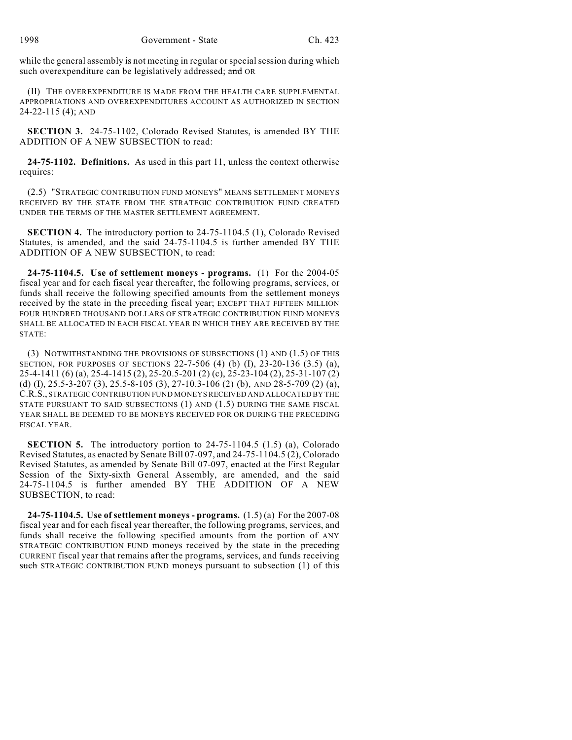while the general assembly is not meeting in regular or special session during which such overexpenditure can be legislatively addressed; and OR

(II) THE OVEREXPENDITURE IS MADE FROM THE HEALTH CARE SUPPLEMENTAL APPROPRIATIONS AND OVEREXPENDITURES ACCOUNT AS AUTHORIZED IN SECTION 24-22-115 (4); AND

**SECTION 3.** 24-75-1102, Colorado Revised Statutes, is amended BY THE ADDITION OF A NEW SUBSECTION to read:

**24-75-1102. Definitions.** As used in this part 11, unless the context otherwise requires:

(2.5) "STRATEGIC CONTRIBUTION FUND MONEYS" MEANS SETTLEMENT MONEYS RECEIVED BY THE STATE FROM THE STRATEGIC CONTRIBUTION FUND CREATED UNDER THE TERMS OF THE MASTER SETTLEMENT AGREEMENT.

**SECTION 4.** The introductory portion to 24-75-1104.5 (1), Colorado Revised Statutes, is amended, and the said 24-75-1104.5 is further amended BY THE ADDITION OF A NEW SUBSECTION, to read:

**24-75-1104.5. Use of settlement moneys - programs.** (1) For the 2004-05 fiscal year and for each fiscal year thereafter, the following programs, services, or funds shall receive the following specified amounts from the settlement moneys received by the state in the preceding fiscal year; EXCEPT THAT FIFTEEN MILLION FOUR HUNDRED THOUSAND DOLLARS OF STRATEGIC CONTRIBUTION FUND MONEYS SHALL BE ALLOCATED IN EACH FISCAL YEAR IN WHICH THEY ARE RECEIVED BY THE STATE:

(3) NOTWITHSTANDING THE PROVISIONS OF SUBSECTIONS (1) AND (1.5) OF THIS SECTION, FOR PURPOSES OF SECTIONS 22-7-506 (4) (b) (I), 23-20-136 (3.5) (a), 25-4-1411 (6) (a), 25-4-1415 (2), 25-20.5-201 (2) (c), 25-23-104 (2), 25-31-107 (2) (d) (I), 25.5-3-207 (3), 25.5-8-105 (3), 27-10.3-106 (2) (b), AND 28-5-709 (2) (a), C.R.S., STRATEGIC CONTRIBUTION FUND MONEYS RECEIVED AND ALLOCATED BY THE STATE PURSUANT TO SAID SUBSECTIONS (1) AND (1.5) DURING THE SAME FISCAL YEAR SHALL BE DEEMED TO BE MONEYS RECEIVED FOR OR DURING THE PRECEDING FISCAL YEAR.

**SECTION 5.** The introductory portion to 24-75-1104.5 (1.5) (a), Colorado Revised Statutes, as enacted by Senate Bill 07-097, and 24-75-1104.5 (2), Colorado Revised Statutes, as amended by Senate Bill 07-097, enacted at the First Regular Session of the Sixty-sixth General Assembly, are amended, and the said 24-75-1104.5 is further amended BY THE ADDITION OF A NEW SUBSECTION, to read:

**24-75-1104.5. Use of settlement moneys - programs.** (1.5) (a) For the 2007-08 fiscal year and for each fiscal year thereafter, the following programs, services, and funds shall receive the following specified amounts from the portion of ANY STRATEGIC CONTRIBUTION FUND moneys received by the state in the preceding CURRENT fiscal year that remains after the programs, services, and funds receiving such STRATEGIC CONTRIBUTION FUND moneys pursuant to subsection (1) of this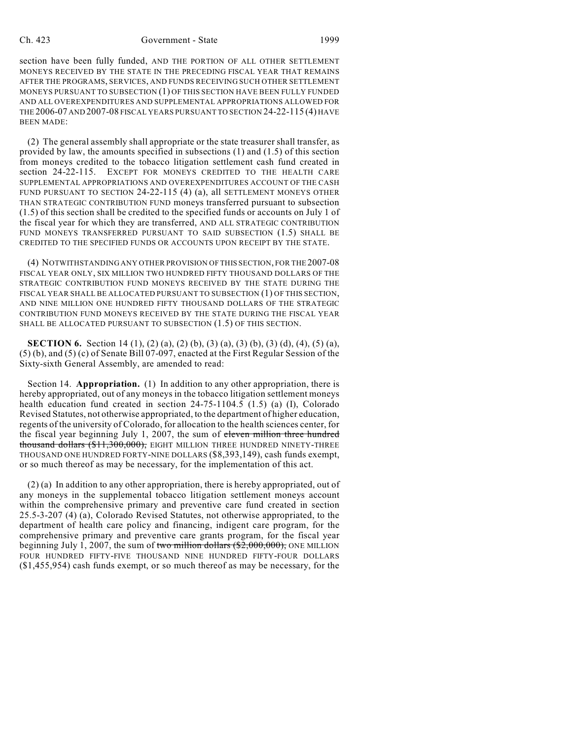## Ch. 423 Government - State 1999

section have been fully funded, AND THE PORTION OF ALL OTHER SETTLEMENT MONEYS RECEIVED BY THE STATE IN THE PRECEDING FISCAL YEAR THAT REMAINS AFTER THE PROGRAMS, SERVICES, AND FUNDS RECEIVING SUCH OTHER SETTLEMENT MONEYS PURSUANT TO SUBSECTION (1) OF THIS SECTION HAVE BEEN FULLY FUNDED AND ALL OVEREXPENDITURES AND SUPPLEMENTAL APPROPRIATIONS ALLOWED FOR THE 2006-07 AND 2007-08 FISCAL YEARS PURSUANT TO SECTION 24-22-115 (4) HAVE BEEN MADE:

(2) The general assembly shall appropriate or the state treasurer shall transfer, as provided by law, the amounts specified in subsections (1) and (1.5) of this section from moneys credited to the tobacco litigation settlement cash fund created in section 24-22-115. EXCEPT FOR MONEYS CREDITED TO THE HEALTH CARE SUPPLEMENTAL APPROPRIATIONS AND OVEREXPENDITURES ACCOUNT OF THE CASH FUND PURSUANT TO SECTION 24-22-115 (4) (a), all SETTLEMENT MONEYS OTHER THAN STRATEGIC CONTRIBUTION FUND moneys transferred pursuant to subsection (1.5) of this section shall be credited to the specified funds or accounts on July 1 of the fiscal year for which they are transferred, AND ALL STRATEGIC CONTRIBUTION FUND MONEYS TRANSFERRED PURSUANT TO SAID SUBSECTION (1.5) SHALL BE CREDITED TO THE SPECIFIED FUNDS OR ACCOUNTS UPON RECEIPT BY THE STATE.

(4) NOTWITHSTANDING ANY OTHER PROVISION OF THIS SECTION, FOR THE 2007-08 FISCAL YEAR ONLY, SIX MILLION TWO HUNDRED FIFTY THOUSAND DOLLARS OF THE STRATEGIC CONTRIBUTION FUND MONEYS RECEIVED BY THE STATE DURING THE FISCAL YEAR SHALL BE ALLOCATED PURSUANT TO SUBSECTION (1) OF THIS SECTION, AND NINE MILLION ONE HUNDRED FIFTY THOUSAND DOLLARS OF THE STRATEGIC CONTRIBUTION FUND MONEYS RECEIVED BY THE STATE DURING THE FISCAL YEAR SHALL BE ALLOCATED PURSUANT TO SUBSECTION (1.5) OF THIS SECTION.

**SECTION 6.** Section 14 (1), (2) (a), (2) (b), (3) (a), (3) (b), (3) (d), (4), (5) (a), (5) (b), and (5) (c) of Senate Bill 07-097, enacted at the First Regular Session of the Sixty-sixth General Assembly, are amended to read:

Section 14. **Appropriation.** (1) In addition to any other appropriation, there is hereby appropriated, out of any moneys in the tobacco litigation settlement moneys health education fund created in section 24-75-1104.5 (1.5) (a) (I), Colorado Revised Statutes, not otherwise appropriated, to the department of higher education, regents of the university of Colorado, for allocation to the health sciences center, for the fiscal year beginning July 1, 2007, the sum of eleven million three hundred thousand dollars (\$11,300,000), EIGHT MILLION THREE HUNDRED NINETY-THREE THOUSAND ONE HUNDRED FORTY-NINE DOLLARS (\$8,393,149), cash funds exempt, or so much thereof as may be necessary, for the implementation of this act.

(2) (a) In addition to any other appropriation, there is hereby appropriated, out of any moneys in the supplemental tobacco litigation settlement moneys account within the comprehensive primary and preventive care fund created in section 25.5-3-207 (4) (a), Colorado Revised Statutes, not otherwise appropriated, to the department of health care policy and financing, indigent care program, for the comprehensive primary and preventive care grants program, for the fiscal year beginning July 1, 2007, the sum of two million dollars  $(\$2,000,000)$ , ONE MILLION FOUR HUNDRED FIFTY-FIVE THOUSAND NINE HUNDRED FIFTY-FOUR DOLLARS (\$1,455,954) cash funds exempt, or so much thereof as may be necessary, for the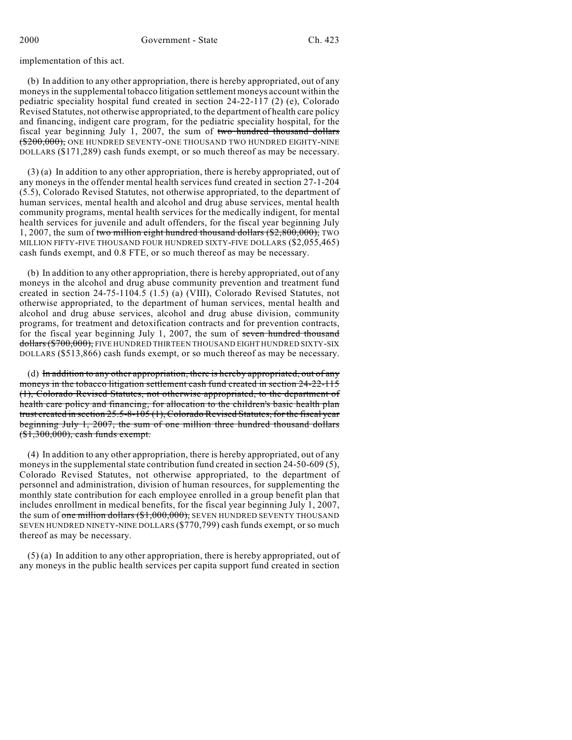implementation of this act.

(b) In addition to any other appropriation, there is hereby appropriated, out of any moneys in the supplemental tobacco litigation settlement moneys account within the pediatric speciality hospital fund created in section 24-22-117 (2) (e), Colorado Revised Statutes, not otherwise appropriated, to the department of health care policy and financing, indigent care program, for the pediatric speciality hospital, for the fiscal year beginning July 1, 2007, the sum of two hundred thousand dollars (\$200,000), ONE HUNDRED SEVENTY-ONE THOUSAND TWO HUNDRED EIGHTY-NINE DOLLARS (\$171,289) cash funds exempt, or so much thereof as may be necessary.

(3) (a) In addition to any other appropriation, there is hereby appropriated, out of any moneys in the offender mental health services fund created in section 27-1-204 (5.5), Colorado Revised Statutes, not otherwise appropriated, to the department of human services, mental health and alcohol and drug abuse services, mental health community programs, mental health services for the medically indigent, for mental health services for juvenile and adult offenders, for the fiscal year beginning July 1, 2007, the sum of two million eight hundred thousand dollars (\$2,800,000), TWO MILLION FIFTY-FIVE THOUSAND FOUR HUNDRED SIXTY-FIVE DOLLARS (\$2,055,465) cash funds exempt, and 0.8 FTE, or so much thereof as may be necessary.

(b) In addition to any other appropriation, there is hereby appropriated, out of any moneys in the alcohol and drug abuse community prevention and treatment fund created in section 24-75-1104.5 (1.5) (a) (VIII), Colorado Revised Statutes, not otherwise appropriated, to the department of human services, mental health and alcohol and drug abuse services, alcohol and drug abuse division, community programs, for treatment and detoxification contracts and for prevention contracts, for the fiscal year beginning July 1, 2007, the sum of seven hundred thousand dollars (\$700,000), FIVE HUNDRED THIRTEEN THOUSAND EIGHT HUNDRED SIXTY-SIX DOLLARS (\$513,866) cash funds exempt, or so much thereof as may be necessary.

(d) In addition to any other appropriation, there is hereby appropriated, out of any moneys in the tobacco litigation settlement cash fund created in section 24-22-115 (1), Colorado Revised Statutes, not otherwise appropriated, to the department of health care policy and financing, for allocation to the children's basic health plan trust created in section 25.5-8-105 (1), Colorado Revised Statutes, for the fiscal year beginning July 1, 2007, the sum of one million three hundred thousand dollars (\$1,300,000), cash funds exempt.

(4) In addition to any other appropriation, there is hereby appropriated, out of any moneys in the supplemental state contribution fund created in section 24-50-609 (5), Colorado Revised Statutes, not otherwise appropriated, to the department of personnel and administration, division of human resources, for supplementing the monthly state contribution for each employee enrolled in a group benefit plan that includes enrollment in medical benefits, for the fiscal year beginning July 1, 2007, the sum of one million dollars (\$1,000,000), SEVEN HUNDRED SEVENTY THOUSAND SEVEN HUNDRED NINETY-NINE DOLLARS (\$770,799) cash funds exempt, or so much thereof as may be necessary.

(5) (a) In addition to any other appropriation, there is hereby appropriated, out of any moneys in the public health services per capita support fund created in section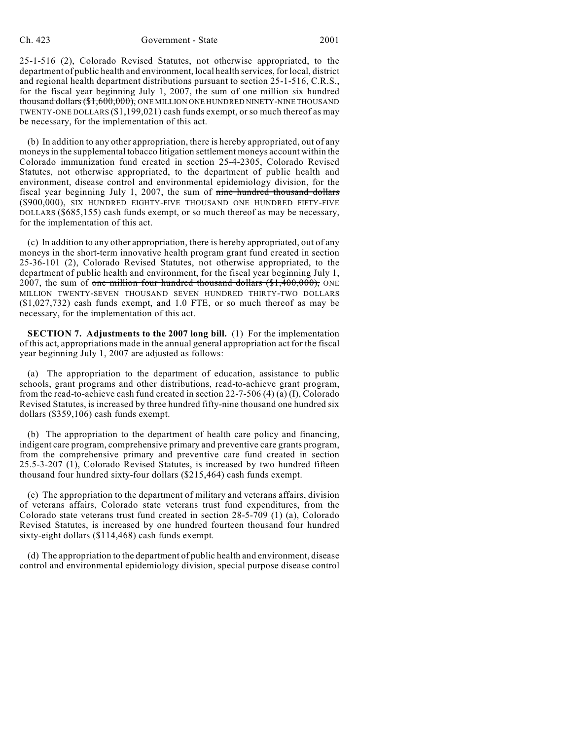25-1-516 (2), Colorado Revised Statutes, not otherwise appropriated, to the department of public health and environment, local health services, for local, district and regional health department distributions pursuant to section 25-1-516, C.R.S., for the fiscal year beginning July 1, 2007, the sum of one million six hundred thousand dollars (\$1,600,000), ONE MILLION ONE HUNDRED NINETY-NINE THOUSAND TWENTY-ONE DOLLARS (\$1,199,021) cash funds exempt, or so much thereof as may be necessary, for the implementation of this act.

(b) In addition to any other appropriation, there is hereby appropriated, out of any moneys in the supplemental tobacco litigation settlement moneys account within the Colorado immunization fund created in section 25-4-2305, Colorado Revised Statutes, not otherwise appropriated, to the department of public health and environment, disease control and environmental epidemiology division, for the fiscal year beginning July 1, 2007, the sum of  $\theta$  nine hundred thousand dollars (\$900,000), SIX HUNDRED EIGHTY-FIVE THOUSAND ONE HUNDRED FIFTY-FIVE DOLLARS (\$685,155) cash funds exempt, or so much thereof as may be necessary, for the implementation of this act.

(c) In addition to any other appropriation, there is hereby appropriated, out of any moneys in the short-term innovative health program grant fund created in section 25-36-101 (2), Colorado Revised Statutes, not otherwise appropriated, to the department of public health and environment, for the fiscal year beginning July 1, 2007, the sum of one million four hundred thousand dollars (\$1,400,000), ONE MILLION TWENTY-SEVEN THOUSAND SEVEN HUNDRED THIRTY-TWO DOLLARS (\$1,027,732) cash funds exempt, and 1.0 FTE, or so much thereof as may be necessary, for the implementation of this act.

**SECTION 7. Adjustments to the 2007 long bill.** (1) For the implementation of this act, appropriations made in the annual general appropriation act for the fiscal year beginning July 1, 2007 are adjusted as follows:

(a) The appropriation to the department of education, assistance to public schools, grant programs and other distributions, read-to-achieve grant program, from the read-to-achieve cash fund created in section 22-7-506 (4) (a) (I), Colorado Revised Statutes, is increased by three hundred fifty-nine thousand one hundred six dollars (\$359,106) cash funds exempt.

(b) The appropriation to the department of health care policy and financing, indigent care program, comprehensive primary and preventive care grants program, from the comprehensive primary and preventive care fund created in section 25.5-3-207 (1), Colorado Revised Statutes, is increased by two hundred fifteen thousand four hundred sixty-four dollars (\$215,464) cash funds exempt.

(c) The appropriation to the department of military and veterans affairs, division of veterans affairs, Colorado state veterans trust fund expenditures, from the Colorado state veterans trust fund created in section 28-5-709 (1) (a), Colorado Revised Statutes, is increased by one hundred fourteen thousand four hundred sixty-eight dollars (\$114,468) cash funds exempt.

(d) The appropriation to the department of public health and environment, disease control and environmental epidemiology division, special purpose disease control